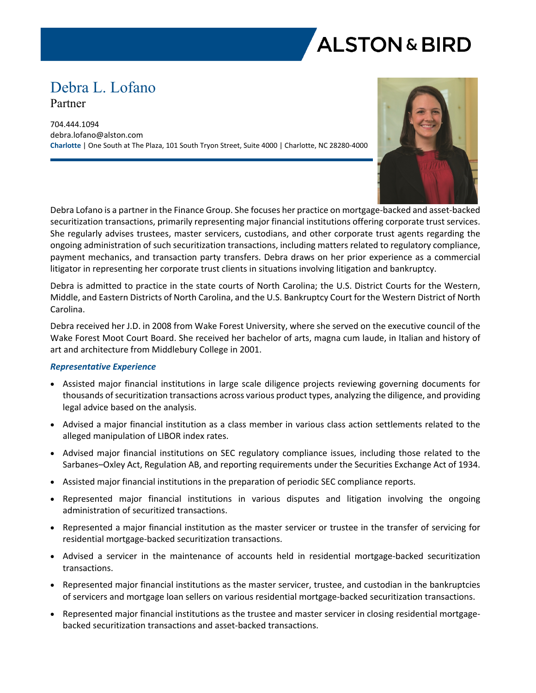

# Debra L. Lofano Partner

704.444.1094 debra.lofano@alston.com **Charlotte** | One South at The Plaza, 101 South Tryon Street, Suite 4000 | Charlotte, NC 28280-4000



Debra Lofano is a partner in the Finance Group. She focuses her practice on mortgage-backed and asset-backed securitization transactions, primarily representing major financial institutions offering corporate trust services. She regularly advises trustees, master servicers, custodians, and other corporate trust agents regarding the ongoing administration of such securitization transactions, including matters related to regulatory compliance, payment mechanics, and transaction party transfers. Debra draws on her prior experience as a commercial litigator in representing her corporate trust clients in situations involving litigation and bankruptcy.

Debra is admitted to practice in the state courts of North Carolina; the U.S. District Courts for the Western, Middle, and Eastern Districts of North Carolina, and the U.S. Bankruptcy Court for the Western District of North Carolina.

Debra received her J.D. in 2008 from Wake Forest University, where she served on the executive council of the Wake Forest Moot Court Board. She received her bachelor of arts, magna cum laude, in Italian and history of art and architecture from Middlebury College in 2001.

## *Representative Experience*

- Assisted major financial institutions in large scale diligence projects reviewing governing documents for thousands of securitization transactions across various product types, analyzing the diligence, and providing legal advice based on the analysis.
- Advised a major financial institution as a class member in various class action settlements related to the alleged manipulation of LIBOR index rates.
- Advised major financial institutions on SEC regulatory compliance issues, including those related to the Sarbanes–Oxley Act, Regulation AB, and reporting requirements under the Securities Exchange Act of 1934.
- Assisted major financial institutions in the preparation of periodic SEC compliance reports.
- Represented major financial institutions in various disputes and litigation involving the ongoing administration of securitized transactions.
- Represented a major financial institution as the master servicer or trustee in the transfer of servicing for residential mortgage-backed securitization transactions.
- Advised a servicer in the maintenance of accounts held in residential mortgage-backed securitization transactions.
- Represented major financial institutions as the master servicer, trustee, and custodian in the bankruptcies of servicers and mortgage loan sellers on various residential mortgage-backed securitization transactions.
- Represented major financial institutions as the trustee and master servicer in closing residential mortgagebacked securitization transactions and asset-backed transactions.